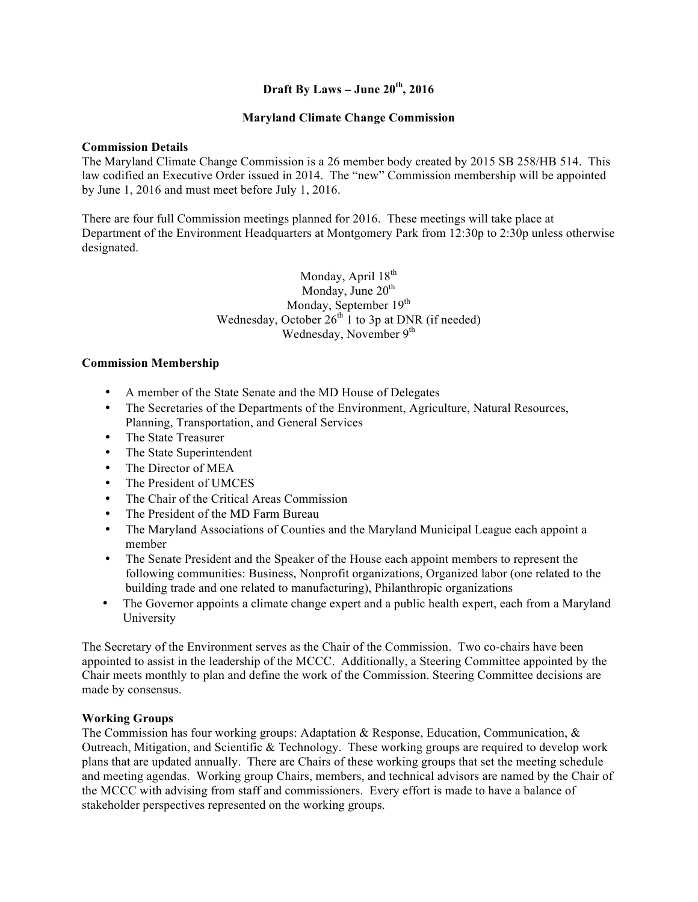### **Draft By Laws – June 20th, 2016**

### **Maryland Climate Change Commission**

#### **Commission Details**

The Maryland Climate Change Commission is a 26 member body created by 2015 SB 258/HB 514. This law codified an Executive Order issued in 2014. The "new" Commission membership will be appointed by June 1, 2016 and must meet before July 1, 2016.

There are four full Commission meetings planned for 2016. These meetings will take place at Department of the Environment Headquarters at Montgomery Park from 12:30p to 2:30p unless otherwise designated.

> Monday, April 18<sup>th</sup> Monday, June  $20<sup>th</sup>$ Monday, September 19<sup>th</sup> Wednesday, October  $26<sup>th</sup> 1$  to 3p at DNR (if needed) Wednesday, November 9<sup>th</sup>

### **Commission Membership**

- A member of the State Senate and the MD House of Delegates
- The Secretaries of the Departments of the Environment, Agriculture, Natural Resources, Planning, Transportation, and General Services
- The State Treasurer
- The State Superintendent
- The Director of MEA
- The President of UMCES
- The Chair of the Critical Areas Commission
- The President of the MD Farm Bureau
- The Maryland Associations of Counties and the Maryland Municipal League each appoint a member
- The Senate President and the Speaker of the House each appoint members to represent the following communities: Business, Nonprofit organizations, Organized labor (one related to the building trade and one related to manufacturing), Philanthropic organizations
- The Governor appoints a climate change expert and a public health expert, each from a Maryland University

The Secretary of the Environment serves as the Chair of the Commission. Two co-chairs have been appointed to assist in the leadership of the MCCC. Additionally, a Steering Committee appointed by the Chair meets monthly to plan and define the work of the Commission. Steering Committee decisions are made by consensus.

### **Working Groups**

The Commission has four working groups: Adaptation & Response, Education, Communication, & Outreach, Mitigation, and Scientific & Technology. These working groups are required to develop work plans that are updated annually. There are Chairs of these working groups that set the meeting schedule and meeting agendas. Working group Chairs, members, and technical advisors are named by the Chair of the MCCC with advising from staff and commissioners. Every effort is made to have a balance of stakeholder perspectives represented on the working groups.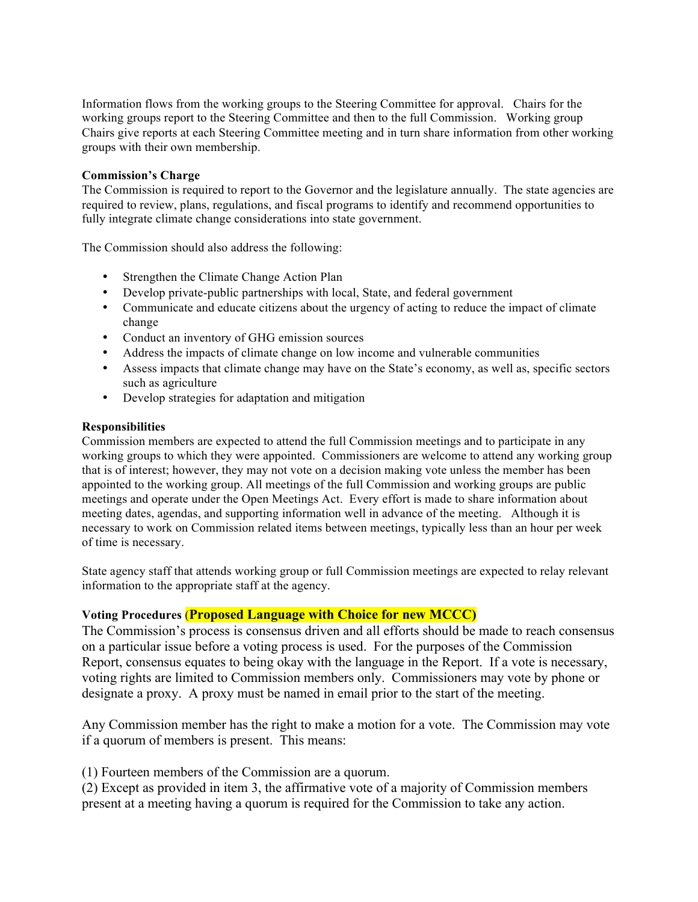Information flows from the working groups to the Steering Committee for approval. Chairs for the working groups report to the Steering Committee and then to the full Commission. Working group Chairs give reports at each Steering Committee meeting and in turn share information from other working groups with their own membership.

### **Commission's Charge**

The Commission is required to report to the Governor and the legislature annually. The state agencies are required to review, plans, regulations, and fiscal programs to identify and recommend opportunities to fully integrate climate change considerations into state government.

The Commission should also address the following:

- Strengthen the Climate Change Action Plan
- Develop private-public partnerships with local, State, and federal government
- Communicate and educate citizens about the urgency of acting to reduce the impact of climate change
- Conduct an inventory of GHG emission sources
- Address the impacts of climate change on low income and vulnerable communities
- Assess impacts that climate change may have on the State's economy, as well as, specific sectors such as agriculture
- Develop strategies for adaptation and mitigation

### **Responsibilities**

Commission members are expected to attend the full Commission meetings and to participate in any working groups to which they were appointed. Commissioners are welcome to attend any working group that is of interest; however, they may not vote on a decision making vote unless the member has been appointed to the working group. All meetings of the full Commission and working groups are public meetings and operate under the Open Meetings Act. Every effort is made to share information about meeting dates, agendas, and supporting information well in advance of the meeting. Although it is necessary to work on Commission related items between meetings, typically less than an hour per week of time is necessary.

State agency staff that attends working group or full Commission meetings are expected to relay relevant information to the appropriate staff at the agency.

## **Voting Procedures** (**Proposed Language with Choice for new MCCC)**

The Commission's process is consensus driven and all efforts should be made to reach consensus on a particular issue before a voting process is used. For the purposes of the Commission Report, consensus equates to being okay with the language in the Report. If a vote is necessary, voting rights are limited to Commission members only. Commissioners may vote by phone or designate a proxy. A proxy must be named in email prior to the start of the meeting.

Any Commission member has the right to make a motion for a vote. The Commission may vote if a quorum of members is present. This means:

(1) Fourteen members of the Commission are a quorum.

(2) Except as provided in item 3, the affirmative vote of a majority of Commission members present at a meeting having a quorum is required for the Commission to take any action.